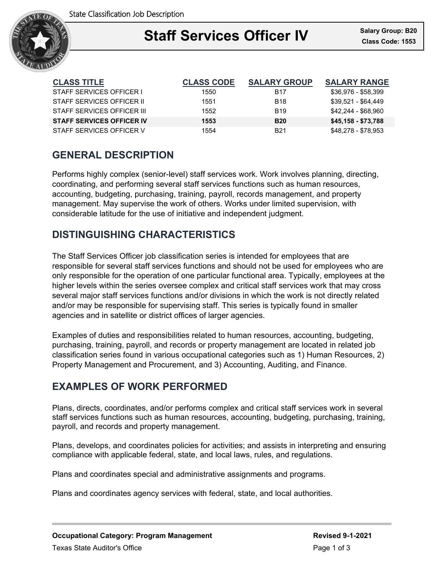

### Ξ **Staff Services Officer IV**

| <b>CLASS TITLE</b>               | <b>CLASS CODE</b> | <b>SALARY GROUP</b>    | <b>SALARY RANGE</b> |
|----------------------------------|-------------------|------------------------|---------------------|
| STAFF SERVICES OFFICER I         | 1550              | <b>B17</b>             | \$36,976 - \$58,399 |
| STAFF SERVICES OFFICER II        | 1551              | <b>B18</b>             | \$39,521 - \$64,449 |
| STAFF SERVICES OFFICER III       | 1552              | <b>B</b> <sub>19</sub> | \$42,244 - \$68,960 |
| <b>STAFF SERVICES OFFICER IV</b> | 1553              | <b>B20</b>             | \$45,158 - \$73,788 |
| STAFF SERVICES OFFICER V         | 1554              | <b>B21</b>             | \$48,278 - \$78,953 |

# **GENERAL DESCRIPTION**

Performs highly complex (senior-level) staff services work. Work involves planning, directing, coordinating, and performing several staff services functions such as human resources, accounting, budgeting, purchasing, training, payroll, records management, and property management. May supervise the work of others. Works under limited supervision, with considerable latitude for the use of initiative and independent judgment.

## **DISTINGUISHING CHARACTERISTICS**

The Staff Services Officer job classification series is intended for employees that are responsible for several staff services functions and should not be used for employees who are only responsible for the operation of one particular functional area. Typically, employees at the higher levels within the series oversee complex and critical staff services work that may cross several major staff services functions and/or divisions in which the work is not directly related and/or may be responsible for supervising staff. This series is typically found in smaller agencies and in satellite or district offices of larger agencies.

Examples of duties and responsibilities related to human resources, accounting, budgeting, purchasing, training, payroll, and records or property management are located in related job classification series found in various occupational categories such as 1) Human Resources, 2) Property Management and Procurement, and 3) Accounting, Auditing, and Finance.

## **EXAMPLES OF WORK PERFORMED**

Plans, directs, coordinates, and/or performs complex and critical staff services work in several staff services functions such as human resources, accounting, budgeting, purchasing, training, payroll, and records and property management.

Plans, develops, and coordinates policies for activities; and assists in interpreting and ensuring compliance with applicable federal, state, and local laws, rules, and regulations.

Plans and coordinates special and administrative assignments and programs.

Plans and coordinates agency services with federal, state, and local authorities.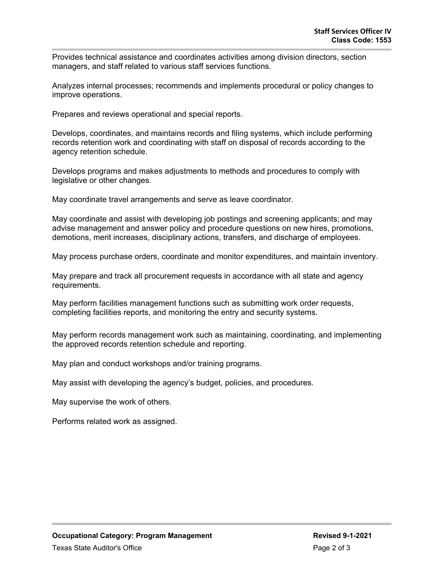Provides technical assistance and coordinates activities among division directors, section managers, and staff related to various staff services functions.

Analyzes internal processes; recommends and implements procedural or policy changes to improve operations.

Prepares and reviews operational and special reports.

Develops, coordinates, and maintains records and filing systems, which include performing records retention work and coordinating with staff on disposal of records according to the agency retention schedule.

Develops programs and makes adjustments to methods and procedures to comply with legislative or other changes.

May coordinate travel arrangements and serve as leave coordinator.

May coordinate and assist with developing job postings and screening applicants; and may advise management and answer policy and procedure questions on new hires, promotions, demotions, merit increases, disciplinary actions, transfers, and discharge of employees.

May process purchase orders, coordinate and monitor expenditures, and maintain inventory.

May prepare and track all procurement requests in accordance with all state and agency requirements.

May perform facilities management functions such as submitting work order requests, completing facilities reports, and monitoring the entry and security systems.

May perform records management work such as maintaining, coordinating, and implementing the approved records retention schedule and reporting.

May plan and conduct workshops and/or training programs.

May assist with developing the agency's budget, policies, and procedures.

May supervise the work of others.

Performs related work as assigned.